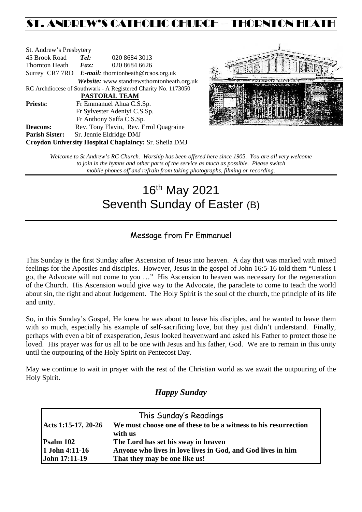## ST. ANDREW'S CATHOLIC CHURCH – THORNTON HEATH

| St. Andrew's Presbytery                                        |                                                      |                                            |  |  |  |
|----------------------------------------------------------------|------------------------------------------------------|--------------------------------------------|--|--|--|
| 45 Brook Road                                                  | Tel:                                                 | 020 8684 3013                              |  |  |  |
| Thornton Heath                                                 | Fax:                                                 | 020 8684 6626                              |  |  |  |
|                                                                | Surrey CR7 7RD $E$ -mail: thorntonheath@rcaos.org.uk |                                            |  |  |  |
|                                                                |                                                      | Website: www.standrewsthorntonheath.org.uk |  |  |  |
| RC Archdiocese of Southwark - A Registered Charity No. 1173050 |                                                      |                                            |  |  |  |
| <b>PASTORAL TEAM</b>                                           |                                                      |                                            |  |  |  |
| <b>Priests:</b>                                                |                                                      | Fr Emmanuel Ahua C.S.Sp.                   |  |  |  |
| Fr Sylvester Adeniyi C.S.Sp.                                   |                                                      |                                            |  |  |  |
|                                                                |                                                      | Fr Anthony Saffa C.S.Sp.                   |  |  |  |
| <b>Deacons:</b>                                                |                                                      | Rev. Tony Flavin, Rev. Errol Quagraine     |  |  |  |
| <b>Parish Sister:</b>                                          |                                                      | Sr. Jennie Eldridge DMJ                    |  |  |  |
| <b>Croydon University Hospital Chaplaincy: Sr. Sheila DMJ</b>  |                                                      |                                            |  |  |  |



*Welcome to St Andrew's RC Church. Worship has been offered here since 1905. You are all very welcome to join in the hymns and other parts of the service as much as possible. Please switch mobile phones off and refrain from taking photographs, filming or recording.*

# 16th May 2021 Seventh Sunday of Easter (B)

## Message from Fr Emmanuel

This Sunday is the first Sunday after Ascension of Jesus into heaven. A day that was marked with mixed feelings for the Apostles and disciples. However, Jesus in the gospel of John 16:5-16 told them "Unless I go, the Advocate will not come to you …" His Ascension to heaven was necessary for the regeneration of the Church. His Ascension would give way to the Advocate, the paraclete to come to teach the world about sin, the right and about Judgement. The Holy Spirit is the soul of the church, the principle of its life and unity.

So, in this Sunday's Gospel, He knew he was about to leave his disciples, and he wanted to leave them with so much, especially his example of self-sacrificing love, but they just didn't understand. Finally, perhaps with even a bit of exasperation, Jesus looked heavenward and asked his Father to protect those he loved. His prayer was for us all to be one with Jesus and his father, God. We are to remain in this unity until the outpouring of the Holy Spirit on Pentecost Day.

May we continue to wait in prayer with the rest of the Christian world as we await the outpouring of the Holy Spirit.

### *Happy Sunday*

| This Sunday's Readings |                                                                 |  |  |  |
|------------------------|-----------------------------------------------------------------|--|--|--|
| Acts 1:15-17, 20-26    | We must choose one of these to be a witness to his resurrection |  |  |  |
|                        | with us                                                         |  |  |  |
| Psalm 102              | The Lord has set his sway in heaven                             |  |  |  |
| 1 John 4:11-16         | Anyone who lives in love lives in God, and God lives in him     |  |  |  |
| John 17:11-19          | That they may be one like us!                                   |  |  |  |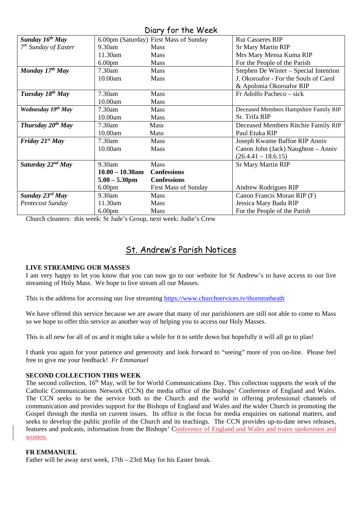## Diary for the Week

| Sunday $16^{th}$ May         |                    | 6.00pm (Saturday) First Mass of Sunday | Rui Casseres RIP                      |
|------------------------------|--------------------|----------------------------------------|---------------------------------------|
| $7th$ Sunday of Easter       | 9.30am             | <b>Mass</b>                            | <b>Sr Mary Martin RIP</b>             |
|                              | 11.30am            | <b>Mass</b>                            | Mrs Mary Mensa Kuma RIP               |
|                              | 6.00 <sub>pm</sub> | <b>Mass</b>                            | For the People of the Parish          |
| Monday $17^{th}$ May         | 7.30am             | <b>Mass</b>                            | Stephen De Winter – Special Intention |
|                              | 10.00am            | <b>Mass</b>                            | J. Okoroafor - For the Souls of Carol |
|                              |                    |                                        | & Apolonia Okoroafor RIP              |
| Tuesday 18 <sup>th</sup> May | 7.30am             | <b>Mass</b>                            | Fr Adolfo Pacheco – sick              |
|                              | 10.00am            | <b>Mass</b>                            |                                       |
| Wednesday 19th May           | 7.30am             | <b>Mass</b>                            | Deceased Members Hampshire Family RIP |
|                              | 10.00am            | <b>Mass</b>                            | Sr. Trifa RIP                         |
| Thursday $20^{th}$ May       | 7.30am             | Mass                                   | Deceased Members Ritchie Family RIP   |
|                              | 10.00am            | <b>Mass</b>                            | Paul Etuka RIP                        |
| Friday $21^{st}$ May         | $7.30$ am          | <b>Mass</b>                            | Joseph Kwame Baffoe RIP Anniv         |
|                              | 10.00am            | <b>Mass</b>                            | Canon John (Jack) Naughton - Anniv    |
|                              |                    |                                        | $(26.4.41 - 18.6.15)$                 |
| Saturday $22^{nd}$ May       | 9.30am             | <b>Mass</b>                            | <b>Sr Mary Martin RIP</b>             |
|                              | $10.00 - 10.30$ am | <b>Confessions</b>                     |                                       |
|                              | $5.00 - 5.30$ pm   | <b>Confessions</b>                     |                                       |
|                              | 6.00 <sub>pm</sub> | <b>First Mass of Sunday</b>            | Andrew Rodrigues RIP                  |
| Sunday $23^{rd}$ May         | 9.30am             | <b>Mass</b>                            | Canon Francis Moran RIP (F)           |
| Pentecost Sunday             | 11.30am            | <b>Mass</b>                            | Jessica Mary Badu RIP                 |
|                              | 6.00 <sub>pm</sub> | <b>Mass</b>                            | For the People of the Parish          |

Church cleaners: this week: St Jude's Group, next week: Judie's Crew

## St. Andrew's Parish Notices

#### **LIVE STREAMING OUR MASSES**

I am very happy to let you know that you can now go to our website for St Andrew's to have access to our live streaming of Holy Mass. We hope to live stream all our Masses.

This is the address for accessing our live streaming<https://www.churchservices.tv/thorntonheath>

We have offered this service because we are aware that many of our parishioners are still not able to come to Mass so we hope to offer this service as another way of helping you to access our Holy Masses.

This is all new for all of us and it might take a while for it to settle down but hopefully it will all go to plan!

I thank you again for your patience and generosity and look forward to "seeing" more of you on-line. Please feel free to give me your feedback! *Fr Emmanuel*

#### **SECOND COLLECTION THIS WEEK**

The second collection, 16<sup>th</sup> May, will be for World Communications Day. This collection supports the work of the Catholic Communications Network (CCN) the media office of the Bishops' Conference of England and Wales. The CCN seeks to be the service both to the Church and the world in offering professional channels of communication and provides support for the Bishops of England and Wales and the wider Church in promoting the Gospel through the media on current issues. Its office is the focus for media enquiries on national matters, and seeks to develop the public profile of the Church and its teachings. The CCN provides up-to-date news releases, features and podcasts, information from the Bishops' Conference of England and Wales and trains spokesmen and women.

#### **FR EMMANUEL**

Father will be away next week, 17th – 23rd May for his Easter break.